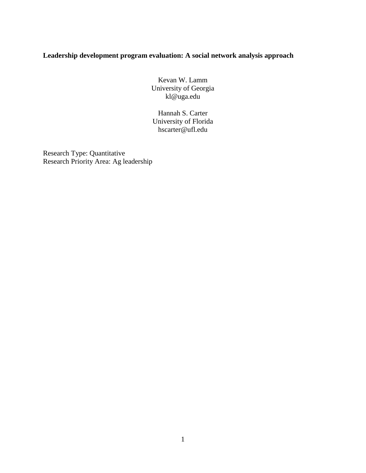# **Leadership development program evaluation: A social network analysis approach**

Kevan W. Lamm University of Georgia kl@uga.edu

Hannah S. Carter University of Florida hscarter@ufl.edu

Research Type: Quantitative Research Priority Area: Ag leadership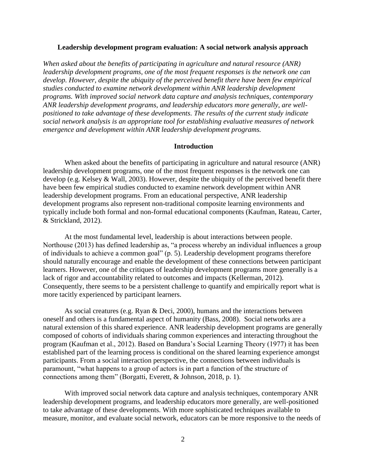### **Leadership development program evaluation: A social network analysis approach**

*When asked about the benefits of participating in agriculture and natural resource (ANR) leadership development programs, one of the most frequent responses is the network one can develop. However, despite the ubiquity of the perceived benefit there have been few empirical studies conducted to examine network development within ANR leadership development programs. With improved social network data capture and analysis techniques, contemporary ANR leadership development programs, and leadership educators more generally, are wellpositioned to take advantage of these developments. The results of the current study indicate social network analysis is an appropriate tool for establishing evaluative measures of network emergence and development within ANR leadership development programs.* 

### **Introduction**

When asked about the benefits of participating in agriculture and natural resource (ANR) leadership development programs, one of the most frequent responses is the network one can develop (e.g. Kelsey & Wall, 2003). However, despite the ubiquity of the perceived benefit there have been few empirical studies conducted to examine network development within ANR leadership development programs. From an educational perspective, ANR leadership development programs also represent non-traditional composite learning environments and typically include both formal and non-formal educational components (Kaufman, Rateau, Carter, & Strickland, 2012).

At the most fundamental level, leadership is about interactions between people. Northouse (2013) has defined leadership as, "a process whereby an individual influences a group of individuals to achieve a common goal" (p. 5). Leadership development programs therefore should naturally encourage and enable the development of these connections between participant learners. However, one of the critiques of leadership development programs more generally is a lack of rigor and accountability related to outcomes and impacts (Kellerman, 2012). Consequently, there seems to be a persistent challenge to quantify and empirically report what is more tacitly experienced by participant learners.

As social creatures (e.g. Ryan & Deci, 2000), humans and the interactions between oneself and others is a fundamental aspect of humanity (Bass, 2008). Social networks are a natural extension of this shared experience. ANR leadership development programs are generally composed of cohorts of individuals sharing common experiences and interacting throughout the program (Kaufman et al., 2012). Based on Bandura's Social Learning Theory (1977) it has been established part of the learning process is conditional on the shared learning experience amongst participants. From a social interaction perspective, the connections between individuals is paramount, "what happens to a group of actors is in part a function of the structure of connections among them" (Borgatti, Everett, & Johnson, 2018, p. 1).

With improved social network data capture and analysis techniques, contemporary ANR leadership development programs, and leadership educators more generally, are well-positioned to take advantage of these developments. With more sophisticated techniques available to measure, monitor, and evaluate social network, educators can be more responsive to the needs of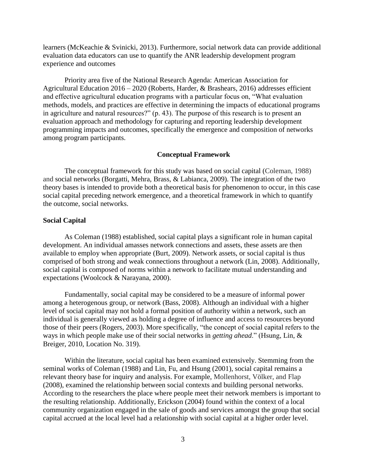learners (McKeachie & Svinicki, 2013). Furthermore, social network data can provide additional evaluation data educators can use to quantify the ANR leadership development program experience and outcomes

Priority area five of the National Research Agenda: American Association for Agricultural Education 2016 – 2020 (Roberts, Harder, & Brashears, 2016) addresses efficient and effective agricultural education programs with a particular focus on, "What evaluation methods, models, and practices are effective in determining the impacts of educational programs in agriculture and natural resources?" (p. 43). The purpose of this research is to present an evaluation approach and methodology for capturing and reporting leadership development programming impacts and outcomes, specifically the emergence and composition of networks among program participants.

## **Conceptual Framework**

The conceptual framework for this study was based on social capital (Coleman, 1988) and social networks (Borgatti, Mehra, Brass, & Labianca, 2009). The integration of the two theory bases is intended to provide both a theoretical basis for phenomenon to occur, in this case social capital preceding network emergence, and a theoretical framework in which to quantify the outcome, social networks.

## **Social Capital**

As Coleman (1988) established, social capital plays a significant role in human capital development. An individual amasses network connections and assets, these assets are then available to employ when appropriate (Burt, 2009). Network assets, or social capital is thus comprised of both strong and weak connections throughout a network (Lin, 2008). Additionally, social capital is composed of norms within a network to facilitate mutual understanding and expectations (Woolcock & Narayana, 2000).

Fundamentally, social capital may be considered to be a measure of informal power among a heterogenous group, or network (Bass, 2008). Although an individual with a higher level of social capital may not hold a formal position of authority within a network, such an individual is generally viewed as holding a degree of influence and access to resources beyond those of their peers (Rogers, 2003). More specifically, "the concept of social capital refers to the ways in which people make use of their social networks in *getting ahead*." (Hsung, Lin, & Breiger, 2010, Location No. 319).

Within the literature, social capital has been examined extensively. Stemming from the seminal works of Coleman (1988) and Lin, Fu, and Hsung (2001), social capital remains a relevant theory base for inquiry and analysis. For example, Mollenhorst, Völker, and Flap (2008), examined the relationship between social contexts and building personal networks. According to the researchers the place where people meet their network members is important to the resulting relationship. Additionally, Erickson (2004) found within the context of a local community organization engaged in the sale of goods and services amongst the group that social capital accrued at the local level had a relationship with social capital at a higher order level.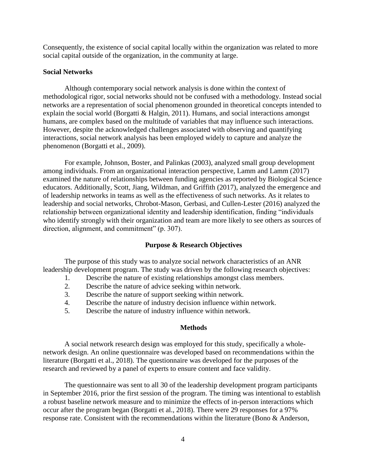Consequently, the existence of social capital locally within the organization was related to more social capital outside of the organization, in the community at large.

### **Social Networks**

Although contemporary social network analysis is done within the context of methodological rigor, social networks should not be confused with a methodology. Instead social networks are a representation of social phenomenon grounded in theoretical concepts intended to explain the social world (Borgatti & Halgin, 2011). Humans, and social interactions amongst humans, are complex based on the multitude of variables that may influence such interactions. However, despite the acknowledged challenges associated with observing and quantifying interactions, social network analysis has been employed widely to capture and analyze the phenomenon (Borgatti et al., 2009).

For example, Johnson, Boster, and Palinkas (2003), analyzed small group development among individuals. From an organizational interaction perspective, Lamm and Lamm (2017) examined the nature of relationships between funding agencies as reported by Biological Science educators. Additionally, Scott, Jiang, Wildman, and Griffith (2017), analyzed the emergence and of leadership networks in teams as well as the effectiveness of such networks. As it relates to leadership and social networks, Chrobot-Mason, Gerbasi, and Cullen-Lester (2016) analyzed the relationship between organizational identity and leadership identification, finding "individuals who identify strongly with their organization and team are more likely to see others as sources of direction, alignment, and commitment" (p. 307).

#### **Purpose & Research Objectives**

The purpose of this study was to analyze social network characteristics of an ANR leadership development program. The study was driven by the following research objectives:

- 1. Describe the nature of existing relationships amongst class members.
- 2. Describe the nature of advice seeking within network.
- 3. Describe the nature of support seeking within network.
- 4. Describe the nature of industry decision influence within network.
- 5. Describe the nature of industry influence within network.

#### **Methods**

A social network research design was employed for this study, specifically a wholenetwork design. An online questionnaire was developed based on recommendations within the literature (Borgatti et al., 2018). The questionnaire was developed for the purposes of the research and reviewed by a panel of experts to ensure content and face validity.

The questionnaire was sent to all 30 of the leadership development program participants in September 2016, prior the first session of the program. The timing was intentional to establish a robust baseline network measure and to minimize the effects of in-person interactions which occur after the program began (Borgatti et al., 2018). There were 29 responses for a 97% response rate. Consistent with the recommendations within the literature (Bono & Anderson,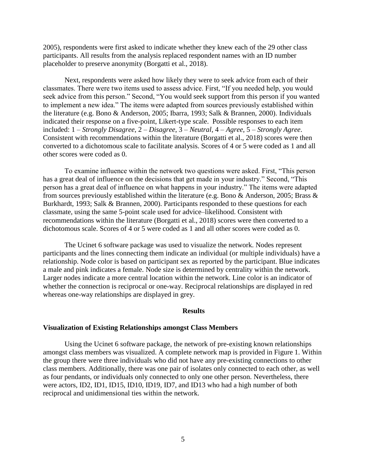2005), respondents were first asked to indicate whether they knew each of the 29 other class participants. All results from the analysis replaced respondent names with an ID number placeholder to preserve anonymity (Borgatti et al., 2018).

Next, respondents were asked how likely they were to seek advice from each of their classmates. There were two items used to assess advice. First, "If you needed help, you would seek advice from this person." Second, "You would seek support from this person if you wanted to implement a new idea." The items were adapted from sources previously established within the literature (e.g. Bono & Anderson, 2005; Ibarra, 1993; Salk & Brannen, 2000). Individuals indicated their response on a five-point, Likert-type scale. Possible responses to each item included: 1 – *Strongly Disagree*, 2 – *Disagree*, 3 – *Neutral*, 4 – *Agree*, 5 – *Strongly Agree*. Consistent with recommendations within the literature (Borgatti et al., 2018) scores were then converted to a dichotomous scale to facilitate analysis. Scores of 4 or 5 were coded as 1 and all other scores were coded as 0.

To examine influence within the network two questions were asked. First, "This person has a great deal of influence on the decisions that get made in your industry." Second, "This person has a great deal of influence on what happens in your industry." The items were adapted from sources previously established within the literature (e.g. Bono & Anderson, 2005; Brass & Burkhardt, 1993; Salk & Brannen, 2000). Participants responded to these questions for each classmate, using the same 5-point scale used for advice–likelihood. Consistent with recommendations within the literature (Borgatti et al., 2018) scores were then converted to a dichotomous scale. Scores of 4 or 5 were coded as 1 and all other scores were coded as 0.

The Ucinet 6 software package was used to visualize the network. Nodes represent participants and the lines connecting them indicate an individual (or multiple individuals) have a relationship. Node color is based on participant sex as reported by the participant. Blue indicates a male and pink indicates a female. Node size is determined by centrality within the network. Larger nodes indicate a more central location within the network. Line color is an indicator of whether the connection is reciprocal or one-way. Reciprocal relationships are displayed in red whereas one-way relationships are displayed in grey.

#### **Results**

#### **Visualization of Existing Relationships amongst Class Members**

Using the Ucinet 6 software package, the network of pre-existing known relationships amongst class members was visualized. A complete network map is provided in Figure 1. Within the group there were three individuals who did not have any pre-existing connections to other class members. Additionally, there was one pair of isolates only connected to each other, as well as four pendants, or individuals only connected to only one other person. Nevertheless, there were actors, ID2, ID1, ID15, ID10, ID19, ID7, and ID13 who had a high number of both reciprocal and unidimensional ties within the network.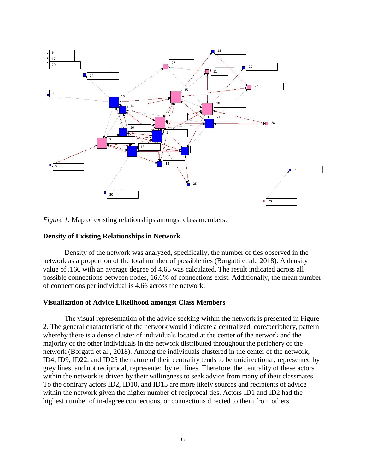

*Figure 1*. Map of existing relationships amongst class members.

## **Density of Existing Relationships in Network**

Density of the network was analyzed, specifically, the number of ties observed in the network as a proportion of the total number of possible ties (Borgatti et al., 2018). A density value of .166 with an average degree of 4.66 was calculated. The result indicated across all possible connections between nodes, 16.6% of connections exist. Additionally, the mean number of connections per individual is 4.66 across the network.

## **Visualization of Advice Likelihood amongst Class Members**

The visual representation of the advice seeking within the network is presented in Figure 2. The general characteristic of the network would indicate a centralized, core/periphery, pattern whereby there is a dense cluster of individuals located at the center of the network and the majority of the other individuals in the network distributed throughout the periphery of the network (Borgatti et al., 2018). Among the individuals clustered in the center of the network, ID4, ID9, ID22, and ID25 the nature of their centrality tends to be unidirectional, represented by grey lines, and not reciprocal, represented by red lines. Therefore, the centrality of these actors within the network is driven by their willingness to seek advice from many of their classmates. To the contrary actors ID2, ID10, and ID15 are more likely sources and recipients of advice within the network given the higher number of reciprocal ties. Actors ID1 and ID2 had the highest number of in-degree connections, or connections directed to them from others.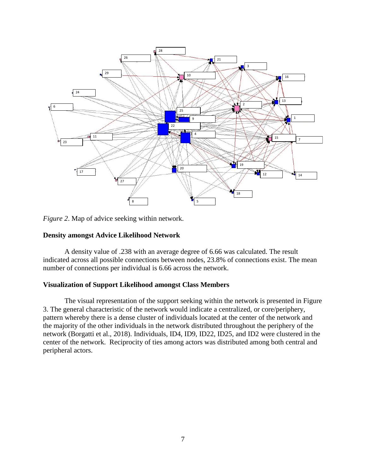

*Figure 2*. Map of advice seeking within network.

## **Density amongst Advice Likelihood Network**

A density value of .238 with an average degree of 6.66 was calculated. The result indicated across all possible connections between nodes, 23.8% of connections exist. The mean number of connections per individual is 6.66 across the network.

## **Visualization of Support Likelihood amongst Class Members**

The visual representation of the support seeking within the network is presented in Figure 3. The general characteristic of the network would indicate a centralized, or core/periphery, pattern whereby there is a dense cluster of individuals located at the center of the network and the majority of the other individuals in the network distributed throughout the periphery of the network (Borgatti et al., 2018). Individuals, ID4, ID9, ID22, ID25, and ID2 were clustered in the center of the network. Reciprocity of ties among actors was distributed among both central and peripheral actors.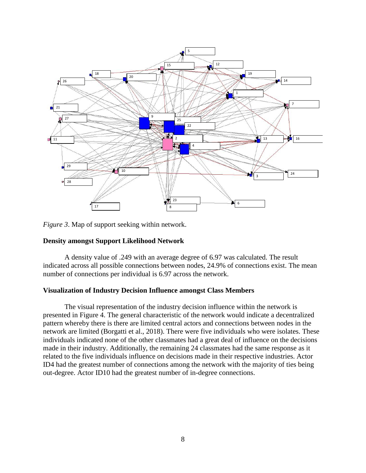

*Figure 3*. Map of support seeking within network.

## **Density amongst Support Likelihood Network**

A density value of .249 with an average degree of 6.97 was calculated. The result indicated across all possible connections between nodes, 24.9% of connections exist. The mean number of connections per individual is 6.97 across the network.

## **Visualization of Industry Decision Influence amongst Class Members**

The visual representation of the industry decision influence within the network is presented in Figure 4. The general characteristic of the network would indicate a decentralized pattern whereby there is there are limited central actors and connections between nodes in the network are limited (Borgatti et al., 2018). There were five individuals who were isolates. These individuals indicated none of the other classmates had a great deal of influence on the decisions made in their industry. Additionally, the remaining 24 classmates had the same response as it related to the five individuals influence on decisions made in their respective industries. Actor ID4 had the greatest number of connections among the network with the majority of ties being out-degree. Actor ID10 had the greatest number of in-degree connections.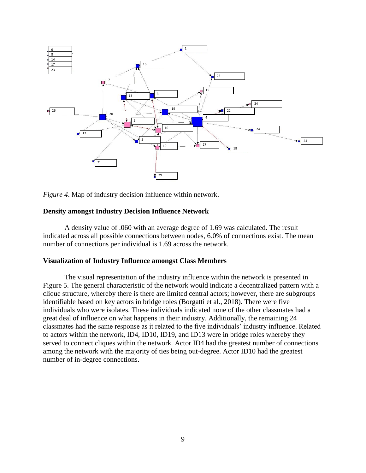

*Figure 4*. Map of industry decision influence within network.

## **Density amongst Industry Decision Influence Network**

A density value of .060 with an average degree of 1.69 was calculated. The result indicated across all possible connections between nodes, 6.0% of connections exist. The mean number of connections per individual is 1.69 across the network.

## **Visualization of Industry Influence amongst Class Members**

The visual representation of the industry influence within the network is presented in Figure 5. The general characteristic of the network would indicate a decentralized pattern with a clique structure, whereby there is there are limited central actors; however, there are subgroups identifiable based on key actors in bridge roles (Borgatti et al., 2018). There were five individuals who were isolates. These individuals indicated none of the other classmates had a great deal of influence on what happens in their industry. Additionally, the remaining 24 classmates had the same response as it related to the five individuals' industry influence. Related to actors within the network, ID4, ID10, ID19, and ID13 were in bridge roles whereby they served to connect cliques within the network. Actor ID4 had the greatest number of connections among the network with the majority of ties being out-degree. Actor ID10 had the greatest number of in-degree connections.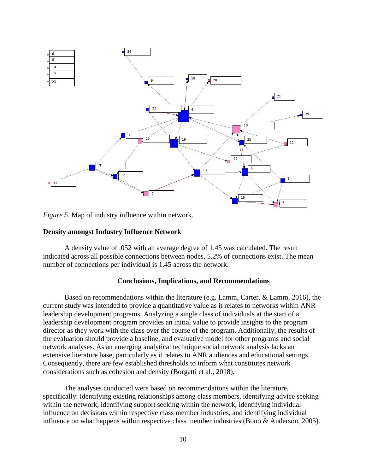

*Figure 5*. Map of industry influence within network.

### **Density amongst Industry Influence Network**

A density value of .052 with an average degree of 1.45 was calculated. The result indicated across all possible connections between nodes, 5.2% of connections exist. The mean number of connections per individual is 1.45 across the network.

## **Conclusions, Implications, and Recommendations**

Based on recommendations within the literature (e.g. Lamm, Carter, & Lamm, 2016), the current study was intended to provide a quantitative value as it relates to networks within ANR leadership development programs. Analyzing a single class of individuals at the start of a leadership development program provides an initial value to provide insights to the program director as they work with the class over the course of the program. Additionally, the results of the evaluation should provide a baseline, and evaluative model for other programs and social network analyses. As an emerging analytical technique social network analysis lacks an extensive literature base, particularly as it relates to ANR audiences and educational settings. Consequently, there are few established thresholds to inform what constitutes network considerations such as cohesion and density (Borgatti et al., 2018).

The analyses conducted were based on recommendations within the literature, specifically: identifying existing relationships among class members, identifying advice seeking within the network, identifying support seeking within the network, identifying individual influence on decisions within respective class member industries, and identifying individual influence on what happens within respective class member industries (Bono & Anderson, 2005).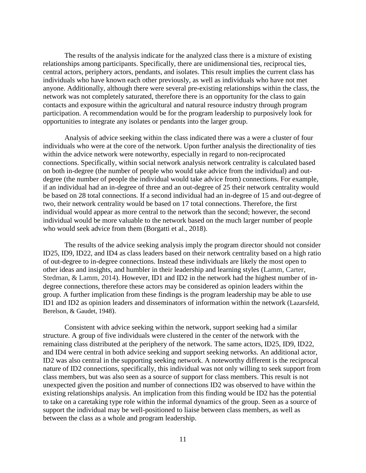The results of the analysis indicate for the analyzed class there is a mixture of existing relationships among participants. Specifically, there are unidimensional ties, reciprocal ties, central actors, periphery actors, pendants, and isolates. This result implies the current class has individuals who have known each other previously, as well as individuals who have not met anyone. Additionally, although there were several pre-existing relationships within the class, the network was not completely saturated, therefore there is an opportunity for the class to gain contacts and exposure within the agricultural and natural resource industry through program participation. A recommendation would be for the program leadership to purposively look for opportunities to integrate any isolates or pendants into the larger group.

Analysis of advice seeking within the class indicated there was a were a cluster of four individuals who were at the core of the network. Upon further analysis the directionality of ties within the advice network were noteworthy, especially in regard to non-reciprocated connections. Specifically, within social network analysis network centrality is calculated based on both in-degree (the number of people who would take advice from the individual) and outdegree (the number of people the individual would take advice from) connections. For example, if an individual had an in-degree of three and an out-degree of 25 their network centrality would be based on 28 total connections. If a second individual had an in-degree of 15 and out-degree of two, their network centrality would be based on 17 total connections. Therefore, the first individual would appear as more central to the network than the second; however, the second individual would be more valuable to the network based on the much larger number of people who would seek advice from them (Borgatti et al., 2018).

The results of the advice seeking analysis imply the program director should not consider ID25, ID9, ID22, and ID4 as class leaders based on their network centrality based on a high ratio of out-degree to in-degree connections. Instead these individuals are likely the most open to other ideas and insights, and humbler in their leadership and learning styles (Lamm, Carter, Stedman, & Lamm, 2014). However, ID1 and ID2 in the network had the highest number of indegree connections, therefore these actors may be considered as opinion leaders within the group. A further implication from these findings is the program leadership may be able to use ID1 and ID2 as opinion leaders and disseminators of information within the network (Lazarsfeld, Berelson, & Gaudet, 1948).

Consistent with advice seeking within the network, support seeking had a similar structure. A group of five individuals were clustered in the center of the network with the remaining class distributed at the periphery of the network. The same actors, ID25, ID9, ID22, and ID4 were central in both advice seeking and support seeking networks. An additional actor, ID2 was also central in the supporting seeking network. A noteworthy different is the reciprocal nature of ID2 connections, specifically, this individual was not only willing to seek support from class members, but was also seen as a source of support for class members. This result is not unexpected given the position and number of connections ID2 was observed to have within the existing relationships analysis. An implication from this finding would be ID2 has the potential to take on a caretaking type role within the informal dynamics of the group. Seen as a source of support the individual may be well-positioned to liaise between class members, as well as between the class as a whole and program leadership.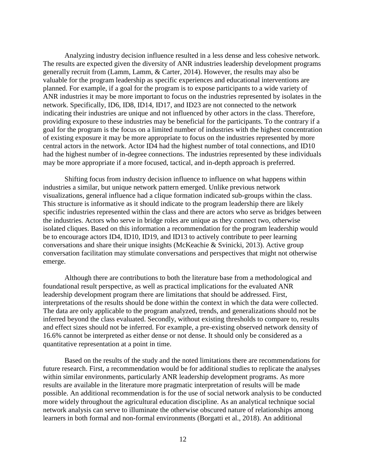Analyzing industry decision influence resulted in a less dense and less cohesive network. The results are expected given the diversity of ANR industries leadership development programs generally recruit from (Lamm, Lamm, & Carter, 2014). However, the results may also be valuable for the program leadership as specific experiences and educational interventions are planned. For example, if a goal for the program is to expose participants to a wide variety of ANR industries it may be more important to focus on the industries represented by isolates in the network. Specifically, ID6, ID8, ID14, ID17, and ID23 are not connected to the network indicating their industries are unique and not influenced by other actors in the class. Therefore, providing exposure to these industries may be beneficial for the participants. To the contrary if a goal for the program is the focus on a limited number of industries with the highest concentration of existing exposure it may be more appropriate to focus on the industries represented by more central actors in the network. Actor ID4 had the highest number of total connections, and ID10 had the highest number of in-degree connections. The industries represented by these individuals may be more appropriate if a more focused, tactical, and in-depth approach is preferred.

Shifting focus from industry decision influence to influence on what happens within industries a similar, but unique network pattern emerged. Unlike previous network visualizations, general influence had a clique formation indicated sub-groups within the class. This structure is informative as it should indicate to the program leadership there are likely specific industries represented within the class and there are actors who serve as bridges between the industries. Actors who serve in bridge roles are unique as they connect two, otherwise isolated cliques. Based on this information a recommendation for the program leadership would be to encourage actors ID4, ID10, ID19, and ID13 to actively contribute to peer learning conversations and share their unique insights (McKeachie & Svinicki, 2013). Active group conversation facilitation may stimulate conversations and perspectives that might not otherwise emerge.

Although there are contributions to both the literature base from a methodological and foundational result perspective, as well as practical implications for the evaluated ANR leadership development program there are limitations that should be addressed. First, interpretations of the results should be done within the context in which the data were collected. The data are only applicable to the program analyzed, trends, and generalizations should not be inferred beyond the class evaluated. Secondly, without existing thresholds to compare to, results and effect sizes should not be inferred. For example, a pre-existing observed network density of 16.6% cannot be interpreted as either dense or not dense. It should only be considered as a quantitative representation at a point in time.

Based on the results of the study and the noted limitations there are recommendations for future research. First, a recommendation would be for additional studies to replicate the analyses within similar environments, particularly ANR leadership development programs. As more results are available in the literature more pragmatic interpretation of results will be made possible. An additional recommendation is for the use of social network analysis to be conducted more widely throughout the agricultural education discipline. As an analytical technique social network analysis can serve to illuminate the otherwise obscured nature of relationships among learners in both formal and non-formal environments (Borgatti et al., 2018). An additional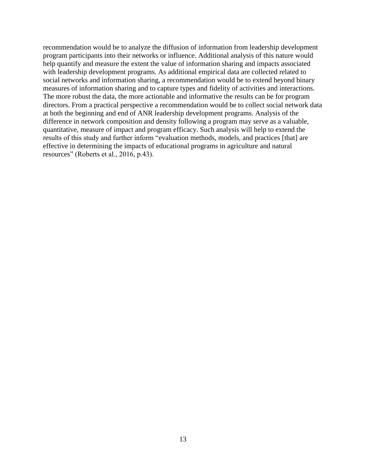recommendation would be to analyze the diffusion of information from leadership development program participants into their networks or influence. Additional analysis of this nature would help quantify and measure the extent the value of information sharing and impacts associated with leadership development programs. As additional empirical data are collected related to social networks and information sharing, a recommendation would be to extend beyond binary measures of information sharing and to capture types and fidelity of activities and interactions. The more robust the data, the more actionable and informative the results can be for program directors. From a practical perspective a recommendation would be to collect social network data at both the beginning and end of ANR leadership development programs. Analysis of the difference in network composition and density following a program may serve as a valuable, quantitative, measure of impact and program efficacy. Such analysis will help to extend the results of this study and further inform "evaluation methods, models, and practices [that] are effective in determining the impacts of educational programs in agriculture and natural resources" (Roberts et al., 2016, p.43).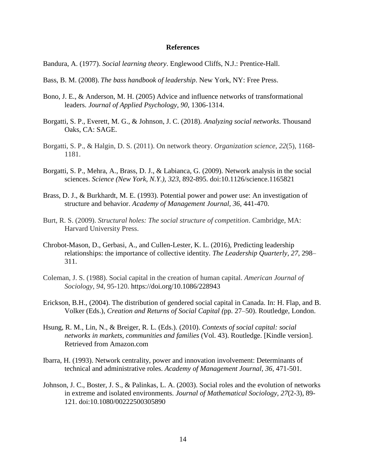#### **References**

Bandura, A. (1977). *Social learning theory*. Englewood Cliffs, N.J.: Prentice-Hall.

- Bass, B. M. (2008). *The bass handbook of leadership*. New York, NY: Free Press.
- Bono, J. E., & Anderson, M. H. (2005) Advice and influence networks of transformational leaders. *Journal of Applied Psychology, 90*, 1306-1314.
- Borgatti, S. P., Everett, M. G., & Johnson, J. C. (2018). *Analyzing social networks*. Thousand Oaks, CA: SAGE.
- Borgatti, S. P., & Halgin, D. S. (2011). On network theory. *Organization science*, *22*(5), 1168- 1181.
- Borgatti, S. P., Mehra, A., Brass, D. J., & Labianca, G. (2009). Network analysis in the social sciences. *Science (New York, N.Y.), 323*, 892-895. doi:10.1126/science.1165821
- Brass, D. J., & Burkhardt, M. E. (1993). Potential power and power use: An investigation of structure and behavior. *Academy of Management Journal, 36*, 441-470.
- Burt, R. S. (2009). *Structural holes: The social structure of competition*. Cambridge, MA: Harvard University Press.
- Chrobot-Mason, D., Gerbasi, A., and Cullen-Lester, K. L. (2016), Predicting leadership relationships: the importance of collective identity. *The Leadership Quarterly, 27*, 298– 311.
- Coleman, J. S. (1988). Social capital in the creation of human capital. *American Journal of Sociology*, *94*, 95-120. https://doi.org/10.1086/228943
- Erickson, B.H., (2004). The distribution of gendered social capital in Canada. In: H. Flap, and B. Volker (Eds.), *Creation and Returns of Social Capital (*pp. 27–50). Routledge, London.
- Hsung, R. M., Lin, N., & Breiger, R. L. (Eds.). (2010). *Contexts of social capital: social networks in markets, communities and families* (Vol. 43). Routledge. [Kindle version]. Retrieved from Amazon.com
- Ibarra, H. (1993). Network centrality, power and innovation involvement: Determinants of technical and administrative roles. *Academy of Management Journal, 36*, 471-501.
- Johnson, J. C., Boster, J. S., & Palinkas, L. A. (2003). Social roles and the evolution of networks in extreme and isolated environments. *Journal of Mathematical Sociology, 27*(2-3), 89- 121. doi:10.1080/00222500305890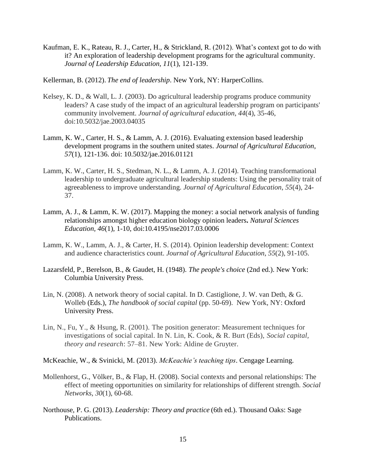- Kaufman, E. K., Rateau, R. J., Carter, H., & Strickland, R. (2012). What's context got to do with it? An exploration of leadership development programs for the agricultural community. *Journal of Leadership Education, 11*(1), 121-139.
- Kellerman, B. (2012). *The end of leadership*. New York, NY: HarperCollins.
- Kelsey, K. D., & Wall, L. J. (2003). Do agricultural leadership programs produce community leaders? A case study of the impact of an agricultural leadership program on participants' community involvement. *Journal of agricultural education*, *44*(4), 35-46, doi:10.5032/jae.2003.04035
- Lamm, K. W., Carter, H. S., & Lamm, A. J. (2016). Evaluating extension based leadership development programs in the southern united states. *Journal of Agricultural Education*, *57*(1), 121-136. doi: 10.5032/jae.2016.01121
- Lamm, K. W., Carter, H. S., Stedman, N. L., & Lamm, A. J. (2014). Teaching transformational leadership to undergraduate agricultural leadership students: Using the personality trait of agreeableness to improve understanding. *Journal of Agricultural Education*, *55*(4), 24- 37.
- Lamm, A. J., & Lamm, K. W. (2017). Mapping the money: a social network analysis of funding relationships amongst higher education biology opinion leaders**.** *Natural Sciences Education, 46*(1)*,* 1-10, doi:10.4195/nse2017.03.0006
- Lamm, K. W., Lamm, A. J., & Carter, H. S. (2014). Opinion leadership development: Context and audience characteristics count. *Journal of Agricultural Education*, *55*(2), 91-105.
- Lazarsfeld, P., Berelson, B., & Gaudet, H. (1948). *The people's choice* (2nd ed.). New York: Columbia University Press.
- Lin, N. (2008). A network theory of social capital. In D. Castiglione, J. W. van Deth, & G. Wolleb (Eds.), *The handbook of social capital* (pp. 50-69). New York, NY: Oxford University Press.
- Lin, N., Fu, Y., & Hsung, R. (2001). The position generator: Measurement techniques for investigations of social capital. In N. Lin, K. Cook, & R. Burt (Eds), *Social capital, theory and research*: 57–81. New York: Aldine de Gruyter.
- McKeachie, W., & Svinicki, M. (2013). *McKeachie's teaching tips*. Cengage Learning.
- Mollenhorst, G., Völker, B., & Flap, H. (2008). Social contexts and personal relationships: The effect of meeting opportunities on similarity for relationships of different strength. *Social Networks*, *30*(1), 60-68.
- Northouse, P. G. (2013). *Leadership: Theory and practice* (6th ed.). Thousand Oaks: Sage Publications.